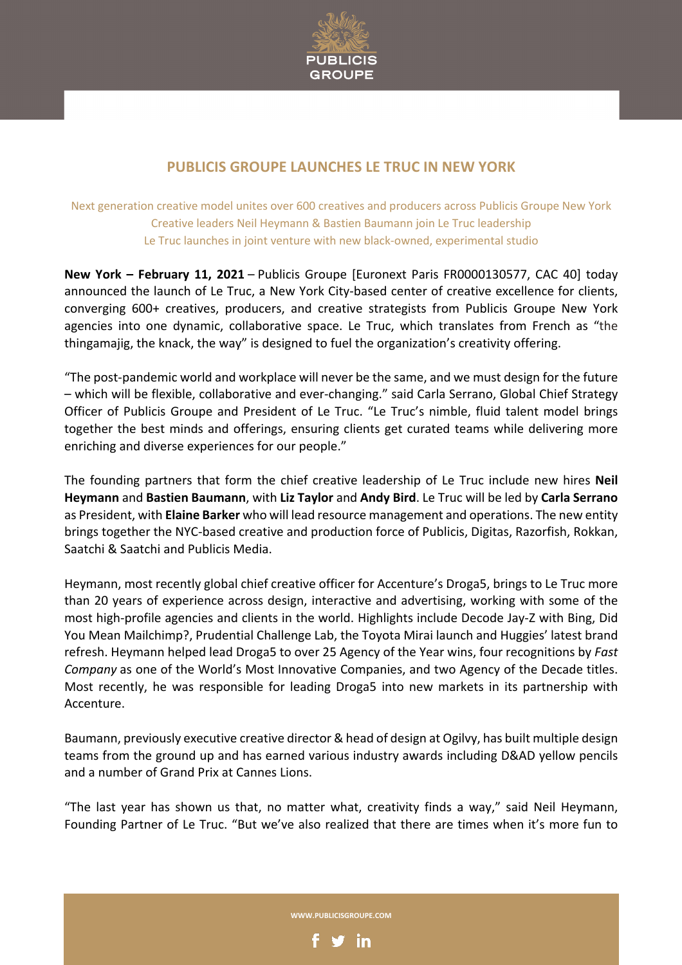

## **PUBLICIS GROUPE LAUNCHES LE TRUC IN NEW YORK**

Next generation creative model unites over 600 creatives and producers across Publicis Groupe New York Creative leaders Neil Heymann & Bastien Baumann join Le Truc leadership Le Truc launches in joint venture with new black-owned, experimental studio

**New York – February 11, 2021** – Publicis Groupe [Euronext Paris FR0000130577, CAC 40] today announced the launch of Le Truc, a New York City-based center of creative excellence for clients, converging 600+ creatives, producers, and creative strategists from Publicis Groupe New York agencies into one dynamic, collaborative space. Le Truc, which translates from French as "the thingamajig, the knack, the way" is designed to fuel the organization's creativity offering.

"The post-pandemic world and workplace will never be the same, and we must design for the future – which will be flexible, collaborative and ever-changing." said Carla Serrano, Global Chief Strategy Officer of Publicis Groupe and President of Le Truc. "Le Truc's nimble, fluid talent model brings together the best minds and offerings, ensuring clients get curated teams while delivering more enriching and diverse experiences for our people."

The founding partners that form the chief creative leadership of Le Truc include new hires **Neil Heymann** and **Bastien Baumann**, with **Liz Taylor** and **Andy Bird**. Le Truc will be led by **Carla Serrano** as President, with **Elaine Barker** who will lead resource management and operations. The new entity brings together the NYC-based creative and production force of Publicis, Digitas, Razorfish, Rokkan, Saatchi & Saatchi and Publicis Media.

Heymann, most recently global chief creative officer for Accenture's Droga5, brings to Le Truc more than 20 years of experience across design, interactive and advertising, working with some of the most high-profile agencies and clients in the world. Highlights include Decode Jay-Z with Bing, Did You Mean Mailchimp?, Prudential Challenge Lab, the Toyota Mirai launch and Huggies' latest brand refresh. Heymann helped lead Droga5 to over 25 Agency of the Year wins, four recognitions by *Fast Company* as one of the World's Most Innovative Companies, and two Agency of the Decade titles. Most recently, he was responsible for leading Droga5 into new markets in its partnership with Accenture.

Baumann, previously executive creative director & head of design at Ogilvy, has built multiple design teams from the ground up and has earned various industry awards including D&AD yellow pencils and a number of Grand Prix at Cannes Lions.

"The last year has shown us that, no matter what, creativity finds a way," said Neil Heymann, Founding Partner of Le Truc. "But we've also realized that there are times when it's more fun to

**WWW.PUBLICISGROUPE.COM**